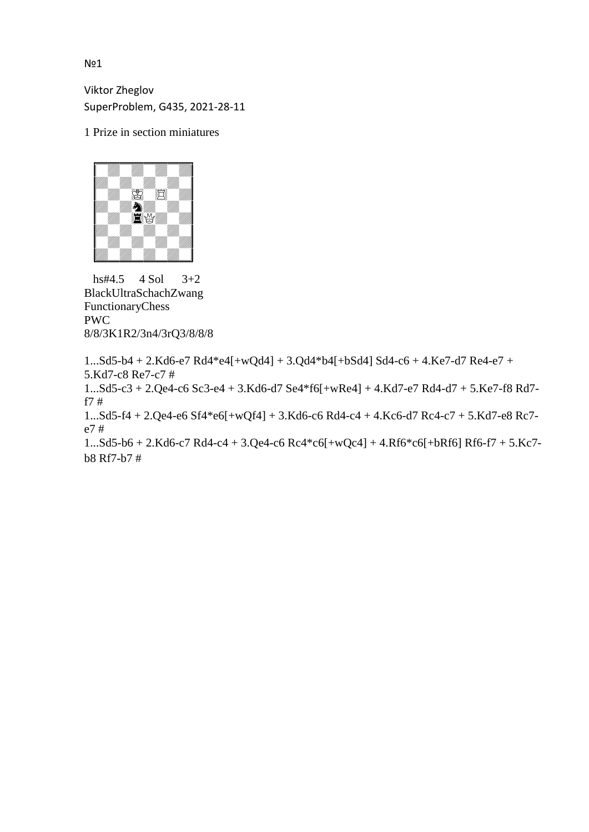No1

Viktor Zheglov SuperProblem, G435, 2021-28-11

1 Prize in section miniatures



 hs#4.5 4 Sol 3+2 BlackUltraSchachZwang FunctionaryChess PWC 8/8/3K1R2/3n4/3rQ3/8/8/8

```
1...Sd5-b4 + 2.Kd6-e7 Rd4*e4[+wQd4] + 3.Qd4*b4[+bSd4] Sd4-c6 + 4.Ke7-d7 Re4-e7 + 
5.Kd7-c8 Re7-c7 #
1...Sd5-c3 + 2.Qe4-c6 Sc3-e4 + 3.Kd6-d7 Se4*f6[+wRe4] + 4.Kd7-e7 Rd4-d7 + 5.Ke7-f8 Rd7-
f7 #
1...Sd5-f4 + 2.Qe4-e6 Sf4*e6[+wQf4] + 3.Kd6-c6 Rd4-c4 + 4.Kc6-d7 Rc4-c7 + 5.Kd7-e8 Rc7-
e7 #
1...Sd5-b6 + 2.Kd6-c7 Rd4-c4 + 3.Qe4-c6 Rc4*c6[+wQc4] + 4.Rf6*c6[+bRf6] Rf6-f7 + 5.Kc7-
b8 Rf7-b7 #
```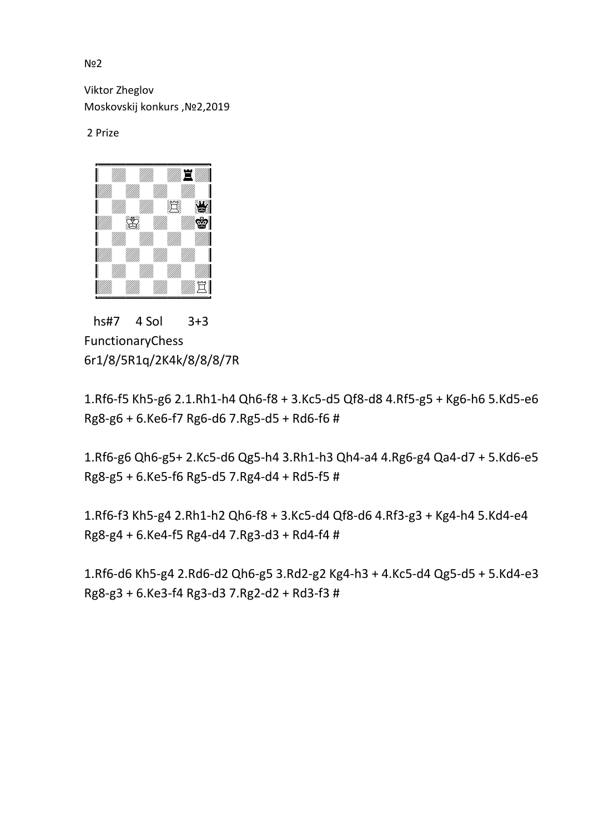N<sup>o</sup>2

Viktor Zheglov Moskovskij konkurs ,№2,2019

2 Prize



 hs#7 4 Sol 3+3 FunctionaryChess 6r1/8/5R1q/2K4k/8/8/8/7R

1.Rf6-f5 Kh5-g6 2.1.Rh1-h4 Qh6-f8 + 3.Kc5-d5 Qf8-d8 4.Rf5-g5 + Kg6-h6 5.Kd5-e6 Rg8-g6 + 6.Ke6-f7 Rg6-d6 7.Rg5-d5 + Rd6-f6 #

1.Rf6-g6 Qh6-g5+ 2.Kc5-d6 Qg5-h4 3.Rh1-h3 Qh4-a4 4.Rg6-g4 Qa4-d7 + 5.Kd6-e5 Rg8-g5 + 6.Ke5-f6 Rg5-d5 7.Rg4-d4 + Rd5-f5 #

1.Rf6-f3 Kh5-g4 2.Rh1-h2 Qh6-f8 + 3.Kc5-d4 Qf8-d6 4.Rf3-g3 + Kg4-h4 5.Kd4-e4 Rg8-g4 + 6.Ke4-f5 Rg4-d4 7.Rg3-d3 + Rd4-f4 #

1.Rf6-d6 Kh5-g4 2.Rd6-d2 Qh6-g5 3.Rd2-g2 Kg4-h3 + 4.Kc5-d4 Qg5-d5 + 5.Kd4-e3 Rg8-g3 + 6.Ke3-f4 Rg3-d3 7.Rg2-d2 + Rd3-f3 #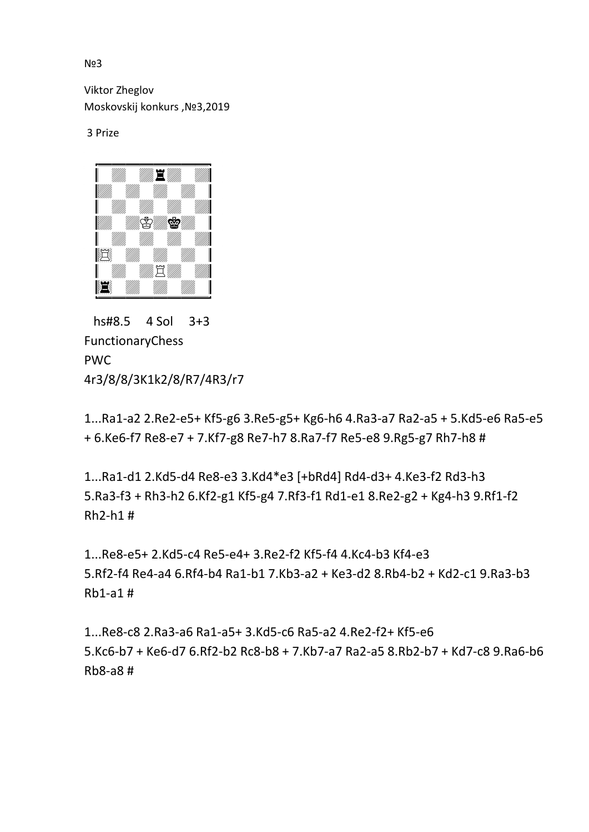N<sub>23</sub>

Viktor Zheglov Moskovskij konkurs ,№3,2019

3 Prize



 hs#8.5 4 Sol 3+3 FunctionaryChess PWC 4r3/8/8/3K1k2/8/R7/4R3/r7

1...Ra1-a2 2.Re2-e5+ Kf5-g6 3.Re5-g5+ Kg6-h6 4.Ra3-a7 Ra2-a5 + 5.Kd5-e6 Ra5-e5 + 6.Ke6-f7 Re8-e7 + 7.Kf7-g8 Re7-h7 8.Ra7-f7 Re5-e8 9.Rg5-g7 Rh7-h8 #

1...Ra1-d1 2.Kd5-d4 Re8-e3 3.Kd4\*e3 [+bRd4] Rd4-d3+ 4.Ke3-f2 Rd3-h3 5.Ra3-f3 + Rh3-h2 6.Kf2-g1 Kf5-g4 7.Rf3-f1 Rd1-e1 8.Re2-g2 + Kg4-h3 9.Rf1-f2 Rh2-h1 #

1...Re8-e5+ 2.Kd5-c4 Re5-e4+ 3.Re2-f2 Kf5-f4 4.Kc4-b3 Kf4-e3 5.Rf2-f4 Re4-a4 6.Rf4-b4 Ra1-b1 7.Kb3-a2 + Ke3-d2 8.Rb4-b2 + Kd2-c1 9.Ra3-b3 Rb1-a1 #

1...Re8-c8 2.Ra3-a6 Ra1-a5+ 3.Kd5-c6 Ra5-a2 4.Re2-f2+ Kf5-e6 5.Kc6-b7 + Ke6-d7 6.Rf2-b2 Rc8-b8 + 7.Kb7-a7 Ra2-a5 8.Rb2-b7 + Kd7-c8 9.Ra6-b6 Rb8-a8 #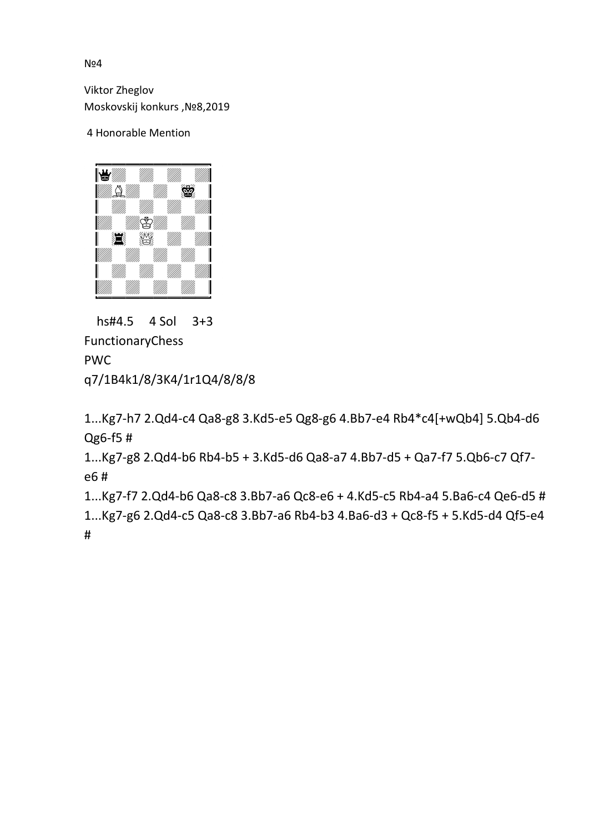N**o4** 

Viktor Zheglov Moskovskij konkurs ,№8,2019

## 4 Honorable Mention



 hs#4.5 4 Sol 3+3 FunctionaryChess PWC q7/1B4k1/8/3K4/1r1Q4/8/8/8

1...Kg7-h7 2.Qd4-c4 Qa8-g8 3.Kd5-e5 Qg8-g6 4.Bb7-e4 Rb4\*c4[+wQb4] 5.Qb4-d6 Qg6-f5 #

1...Kg7-g8 2.Qd4-b6 Rb4-b5 + 3.Kd5-d6 Qa8-a7 4.Bb7-d5 + Qa7-f7 5.Qb6-c7 Qf7 e6 #

1...Kg7-f7 2.Qd4-b6 Qa8-c8 3.Bb7-a6 Qc8-e6 + 4.Kd5-c5 Rb4-a4 5.Ba6-c4 Qe6-d5 # 1...Kg7-g6 2.Qd4-c5 Qa8-c8 3.Bb7-a6 Rb4-b3 4.Ba6-d3 + Qc8-f5 + 5.Kd5-d4 Qf5-e4 #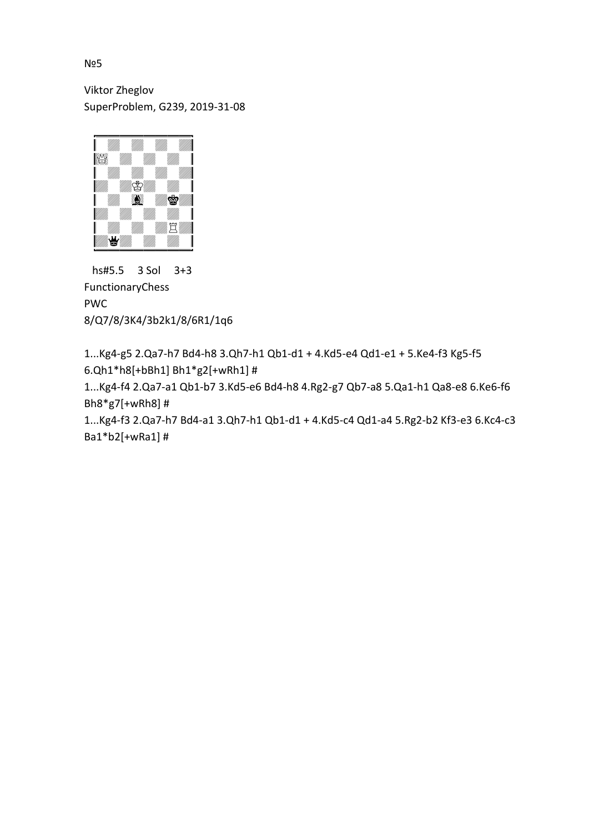Viktor Zheglov SuperProblem, G239, 2019-31-08



 hs#5.5 3 Sol 3+3 FunctionaryChess PWC 8/Q7/8/3K4/3b2k1/8/6R1/1q6

1...Kg4-g5 2.Qa7-h7 Bd4-h8 3.Qh7-h1 Qb1-d1 + 4.Kd5-e4 Qd1-e1 + 5.Ke4-f3 Kg5-f5 6.Qh1\*h8[+bBh1] Bh1\*g2[+wRh1] #

1...Kg4-f4 2.Qa7-a1 Qb1-b7 3.Kd5-e6 Bd4-h8 4.Rg2-g7 Qb7-a8 5.Qa1-h1 Qa8-e8 6.Ke6-f6 Bh8\*g7[+wRh8] #

1...Kg4-f3 2.Qa7-h7 Bd4-a1 3.Qh7-h1 Qb1-d1 + 4.Kd5-c4 Qd1-a4 5.Rg2-b2 Kf3-e3 6.Kc4-c3 Ba1\*b2[+wRa1] #

№5